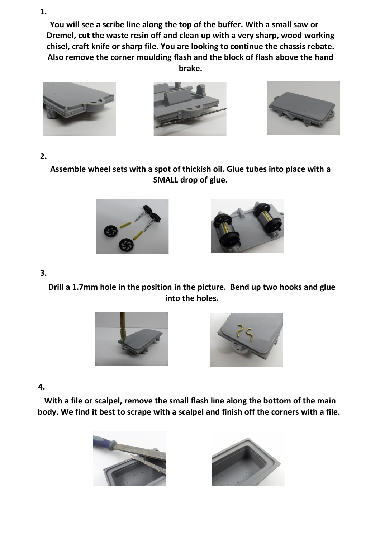**You will see a scribe line along the top of the buffer. With a small saw or Dremel, cut the waste resin off and clean up with a very sharp, wood working chisel, craft knife or sharp file. You are looking to continue the chassis rebate. Also remove the corner moulding flash and the block of flash above the hand brake.**







# **2.**

**Assemble wheel sets with a spot of thickish oil. Glue tubes into place with a SMALL drop of glue.**





# **3.**

**Drill a 1.7mm hole in the position in the picture. Bend up two hooks and glue into the holes.**





### **4.**

**With a file or scalpel, remove the small flash line along the bottom of the main body. We find it best to scrape with a scalpel and finish off the corners with a file.** 





#### **1.**